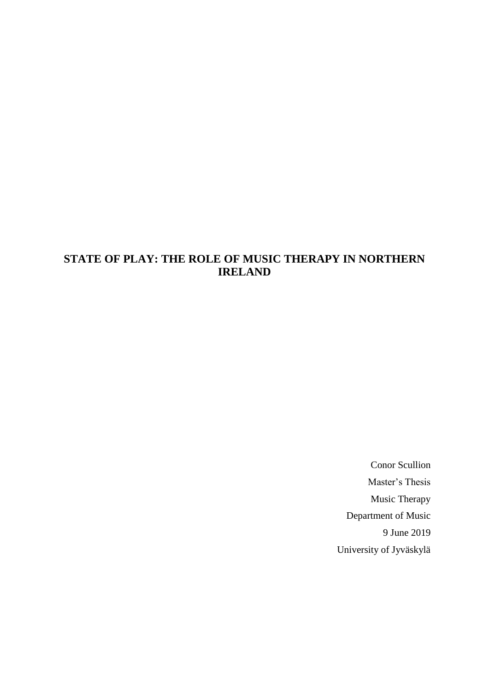# **STATE OF PLAY: THE ROLE OF MUSIC THERAPY IN NORTHERN IRELAND**

Conor Scullion Master's Thesis Music Therapy Department of Music 9 June 2019 University of Jyväskylä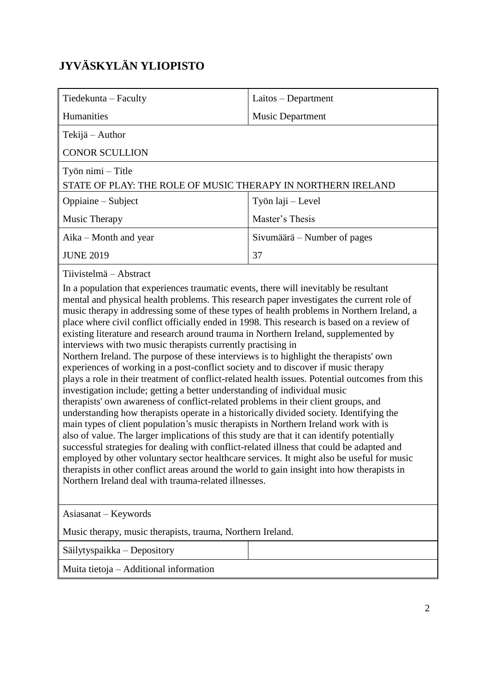# **JYVÄSKYLÄN YLIOPISTO**

| Tiedekunta - Faculty                                                                                                                                                                                                                                                                                                                                                                                                                                                                                                                                                                                                                                                                                                                                                                                                                                                                                                                                                                                                                                                                                                                                                                                                                                                                                                                                                                                                                                                                                                                                                                                                                               | Laitos - Department         |  |  |
|----------------------------------------------------------------------------------------------------------------------------------------------------------------------------------------------------------------------------------------------------------------------------------------------------------------------------------------------------------------------------------------------------------------------------------------------------------------------------------------------------------------------------------------------------------------------------------------------------------------------------------------------------------------------------------------------------------------------------------------------------------------------------------------------------------------------------------------------------------------------------------------------------------------------------------------------------------------------------------------------------------------------------------------------------------------------------------------------------------------------------------------------------------------------------------------------------------------------------------------------------------------------------------------------------------------------------------------------------------------------------------------------------------------------------------------------------------------------------------------------------------------------------------------------------------------------------------------------------------------------------------------------------|-----------------------------|--|--|
| Humanities                                                                                                                                                                                                                                                                                                                                                                                                                                                                                                                                                                                                                                                                                                                                                                                                                                                                                                                                                                                                                                                                                                                                                                                                                                                                                                                                                                                                                                                                                                                                                                                                                                         | <b>Music Department</b>     |  |  |
| Tekijä – Author                                                                                                                                                                                                                                                                                                                                                                                                                                                                                                                                                                                                                                                                                                                                                                                                                                                                                                                                                                                                                                                                                                                                                                                                                                                                                                                                                                                                                                                                                                                                                                                                                                    |                             |  |  |
| <b>CONOR SCULLION</b>                                                                                                                                                                                                                                                                                                                                                                                                                                                                                                                                                                                                                                                                                                                                                                                                                                                                                                                                                                                                                                                                                                                                                                                                                                                                                                                                                                                                                                                                                                                                                                                                                              |                             |  |  |
| Työn nimi – Title                                                                                                                                                                                                                                                                                                                                                                                                                                                                                                                                                                                                                                                                                                                                                                                                                                                                                                                                                                                                                                                                                                                                                                                                                                                                                                                                                                                                                                                                                                                                                                                                                                  |                             |  |  |
| STATE OF PLAY: THE ROLE OF MUSIC THERAPY IN NORTHERN IRELAND                                                                                                                                                                                                                                                                                                                                                                                                                                                                                                                                                                                                                                                                                                                                                                                                                                                                                                                                                                                                                                                                                                                                                                                                                                                                                                                                                                                                                                                                                                                                                                                       |                             |  |  |
| Oppiaine – Subject                                                                                                                                                                                                                                                                                                                                                                                                                                                                                                                                                                                                                                                                                                                                                                                                                                                                                                                                                                                                                                                                                                                                                                                                                                                                                                                                                                                                                                                                                                                                                                                                                                 | Työn laji – Level           |  |  |
| Music Therapy                                                                                                                                                                                                                                                                                                                                                                                                                                                                                                                                                                                                                                                                                                                                                                                                                                                                                                                                                                                                                                                                                                                                                                                                                                                                                                                                                                                                                                                                                                                                                                                                                                      | Master's Thesis             |  |  |
| Aika – Month and year                                                                                                                                                                                                                                                                                                                                                                                                                                                                                                                                                                                                                                                                                                                                                                                                                                                                                                                                                                                                                                                                                                                                                                                                                                                                                                                                                                                                                                                                                                                                                                                                                              | Sivumäärä – Number of pages |  |  |
| <b>JUNE 2019</b>                                                                                                                                                                                                                                                                                                                                                                                                                                                                                                                                                                                                                                                                                                                                                                                                                                                                                                                                                                                                                                                                                                                                                                                                                                                                                                                                                                                                                                                                                                                                                                                                                                   | 37                          |  |  |
| Tiivistelmä - Abstract<br>In a population that experiences traumatic events, there will inevitably be resultant<br>mental and physical health problems. This research paper investigates the current role of<br>music therapy in addressing some of these types of health problems in Northern Ireland, a<br>place where civil conflict officially ended in 1998. This research is based on a review of<br>existing literature and research around trauma in Northern Ireland, supplemented by<br>interviews with two music therapists currently practising in<br>Northern Ireland. The purpose of these interviews is to highlight the therapists' own<br>experiences of working in a post-conflict society and to discover if music therapy<br>plays a role in their treatment of conflict-related health issues. Potential outcomes from this<br>investigation include; getting a better understanding of individual music<br>therapists' own awareness of conflict-related problems in their client groups, and<br>understanding how therapists operate in a historically divided society. Identifying the<br>main types of client population's music therapists in Northern Ireland work with is<br>also of value. The larger implications of this study are that it can identify potentially<br>successful strategies for dealing with conflict-related illness that could be adapted and<br>employed by other voluntary sector healthcare services. It might also be useful for music<br>therapists in other conflict areas around the world to gain insight into how therapists in<br>Northern Ireland deal with trauma-related illnesses. |                             |  |  |
| Asiasanat – Keywords                                                                                                                                                                                                                                                                                                                                                                                                                                                                                                                                                                                                                                                                                                                                                                                                                                                                                                                                                                                                                                                                                                                                                                                                                                                                                                                                                                                                                                                                                                                                                                                                                               |                             |  |  |
| Music therapy, music therapists, trauma, Northern Ireland.                                                                                                                                                                                                                                                                                                                                                                                                                                                                                                                                                                                                                                                                                                                                                                                                                                                                                                                                                                                                                                                                                                                                                                                                                                                                                                                                                                                                                                                                                                                                                                                         |                             |  |  |
| Säilytyspaikka – Depository                                                                                                                                                                                                                                                                                                                                                                                                                                                                                                                                                                                                                                                                                                                                                                                                                                                                                                                                                                                                                                                                                                                                                                                                                                                                                                                                                                                                                                                                                                                                                                                                                        |                             |  |  |
| Muita tietoja - Additional information                                                                                                                                                                                                                                                                                                                                                                                                                                                                                                                                                                                                                                                                                                                                                                                                                                                                                                                                                                                                                                                                                                                                                                                                                                                                                                                                                                                                                                                                                                                                                                                                             |                             |  |  |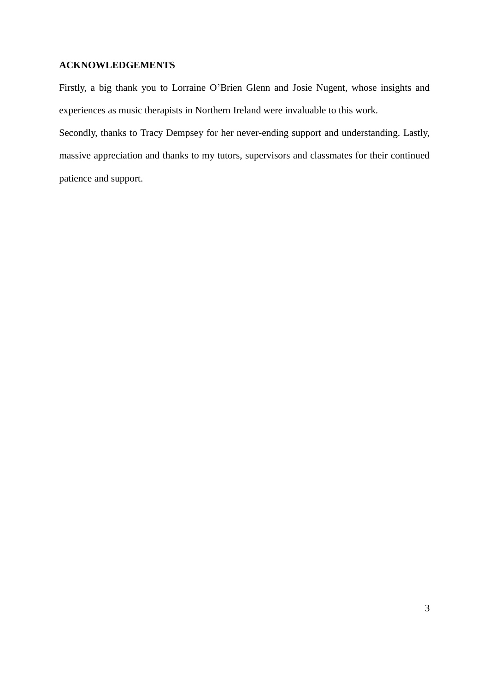### **ACKNOWLEDGEMENTS**

Firstly, a big thank you to Lorraine O'Brien Glenn and Josie Nugent, whose insights and experiences as music therapists in Northern Ireland were invaluable to this work.

Secondly, thanks to Tracy Dempsey for her never-ending support and understanding. Lastly, massive appreciation and thanks to my tutors, supervisors and classmates for their continued patience and support.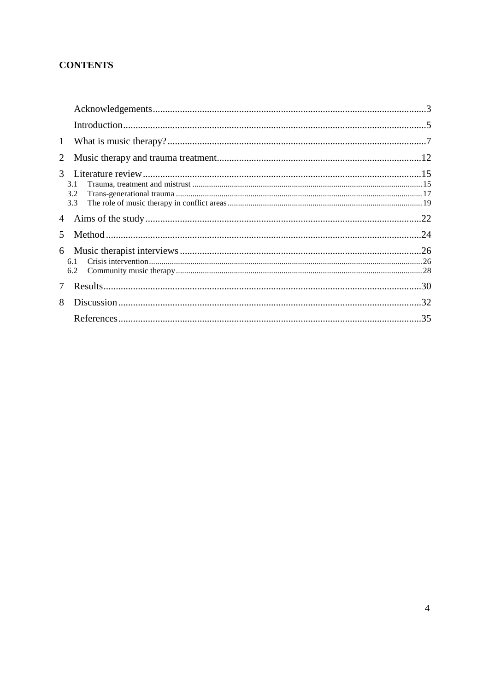## **CONTENTS**

| 1             |                   |  |
|---------------|-------------------|--|
| 2             |                   |  |
| 3             | 3.1<br>3.2<br>3.3 |  |
| 4             |                   |  |
| $\mathcal{F}$ |                   |  |
|               | 6.1<br>6.2        |  |
| 7             |                   |  |
| 8             |                   |  |
|               |                   |  |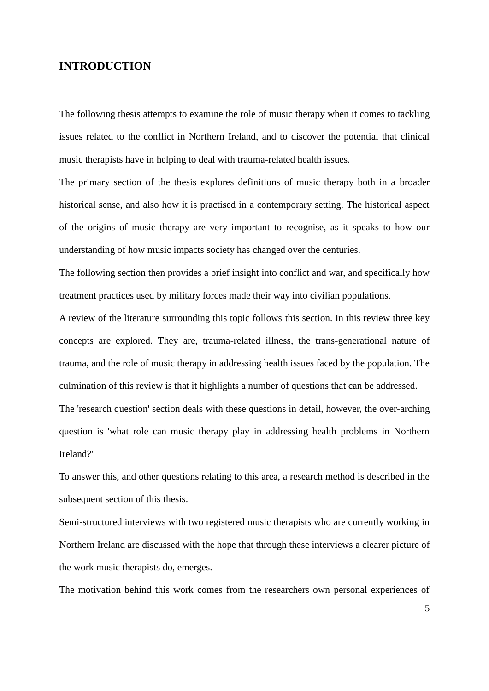## **INTRODUCTION**

The following thesis attempts to examine the role of music therapy when it comes to tackling issues related to the conflict in Northern Ireland, and to discover the potential that clinical music therapists have in helping to deal with trauma-related health issues.

The primary section of the thesis explores definitions of music therapy both in a broader historical sense, and also how it is practised in a contemporary setting. The historical aspect of the origins of music therapy are very important to recognise, as it speaks to how our understanding of how music impacts society has changed over the centuries.

The following section then provides a brief insight into conflict and war, and specifically how treatment practices used by military forces made their way into civilian populations.

A review of the literature surrounding this topic follows this section. In this review three key concepts are explored. They are, trauma-related illness, the trans-generational nature of trauma, and the role of music therapy in addressing health issues faced by the population. The culmination of this review is that it highlights a number of questions that can be addressed.

The 'research question' section deals with these questions in detail, however, the over-arching question is 'what role can music therapy play in addressing health problems in Northern Ireland?'

To answer this, and other questions relating to this area, a research method is described in the subsequent section of this thesis.

Semi-structured interviews with two registered music therapists who are currently working in Northern Ireland are discussed with the hope that through these interviews a clearer picture of the work music therapists do, emerges.

The motivation behind this work comes from the researchers own personal experiences of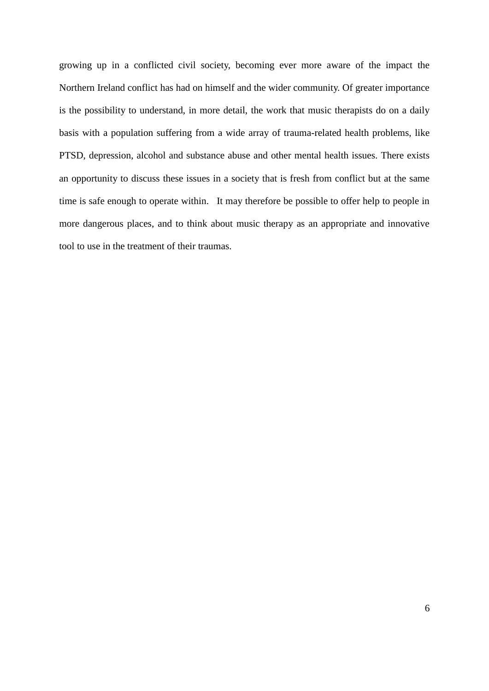growing up in a conflicted civil society, becoming ever more aware of the impact the Northern Ireland conflict has had on himself and the wider community. Of greater importance is the possibility to understand, in more detail, the work that music therapists do on a daily basis with a population suffering from a wide array of trauma-related health problems, like PTSD, depression, alcohol and substance abuse and other mental health issues. There exists an opportunity to discuss these issues in a society that is fresh from conflict but at the same time is safe enough to operate within. It may therefore be possible to offer help to people in more dangerous places, and to think about music therapy as an appropriate and innovative tool to use in the treatment of their traumas.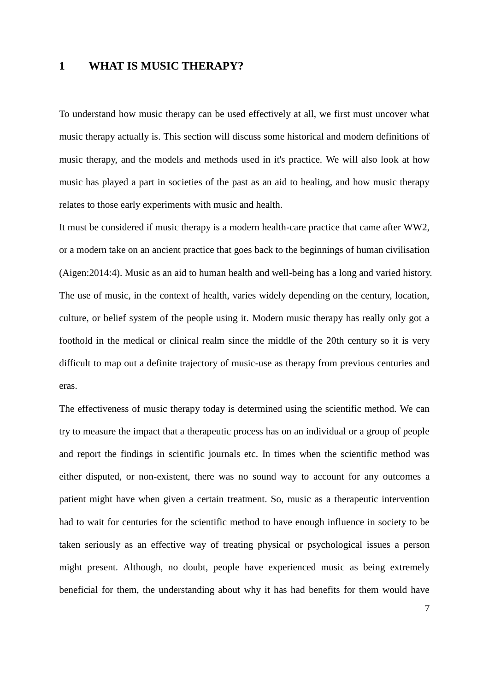## **1 WHAT IS MUSIC THERAPY?**

To understand how music therapy can be used effectively at all, we first must uncover what music therapy actually is. This section will discuss some historical and modern definitions of music therapy, and the models and methods used in it's practice. We will also look at how music has played a part in societies of the past as an aid to healing, and how music therapy relates to those early experiments with music and health.

It must be considered if music therapy is a modern health-care practice that came after WW2, or a modern take on an ancient practice that goes back to the beginnings of human civilisation (Aigen:2014:4). Music as an aid to human health and well-being has a long and varied history. The use of music, in the context of health, varies widely depending on the century, location, culture, or belief system of the people using it. Modern music therapy has really only got a foothold in the medical or clinical realm since the middle of the 20th century so it is very difficult to map out a definite trajectory of music-use as therapy from previous centuries and eras.

The effectiveness of music therapy today is determined using the scientific method. We can try to measure the impact that a therapeutic process has on an individual or a group of people and report the findings in scientific journals etc. In times when the scientific method was either disputed, or non-existent, there was no sound way to account for any outcomes a patient might have when given a certain treatment. So, music as a therapeutic intervention had to wait for centuries for the scientific method to have enough influence in society to be taken seriously as an effective way of treating physical or psychological issues a person might present. Although, no doubt, people have experienced music as being extremely beneficial for them, the understanding about why it has had benefits for them would have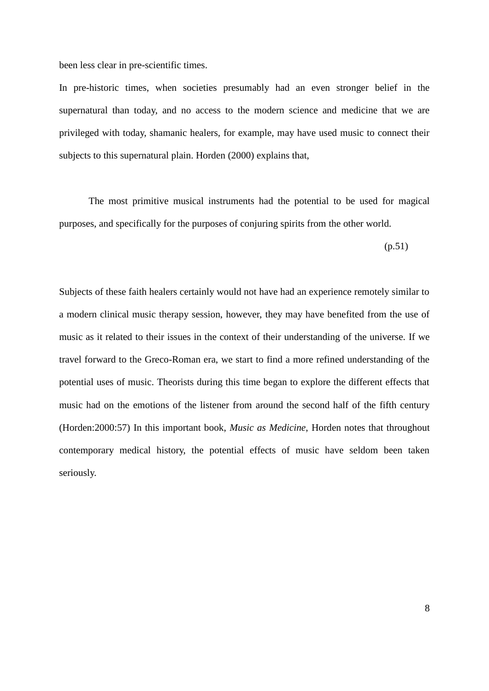been less clear in pre-scientific times.

In pre-historic times, when societies presumably had an even stronger belief in the supernatural than today, and no access to the modern science and medicine that we are privileged with today, shamanic healers, for example, may have used music to connect their subjects to this supernatural plain. Horden (2000) explains that,

The most primitive musical instruments had the potential to be used for magical purposes, and specifically for the purposes of conjuring spirits from the other world.

(p.51)

Subjects of these faith healers certainly would not have had an experience remotely similar to a modern clinical music therapy session, however, they may have benefited from the use of music as it related to their issues in the context of their understanding of the universe. If we travel forward to the Greco-Roman era, we start to find a more refined understanding of the potential uses of music. Theorists during this time began to explore the different effects that music had on the emotions of the listener from around the second half of the fifth century (Horden:2000:57) In this important book, *Music as Medicine*, Horden notes that throughout contemporary medical history, the potential effects of music have seldom been taken seriously.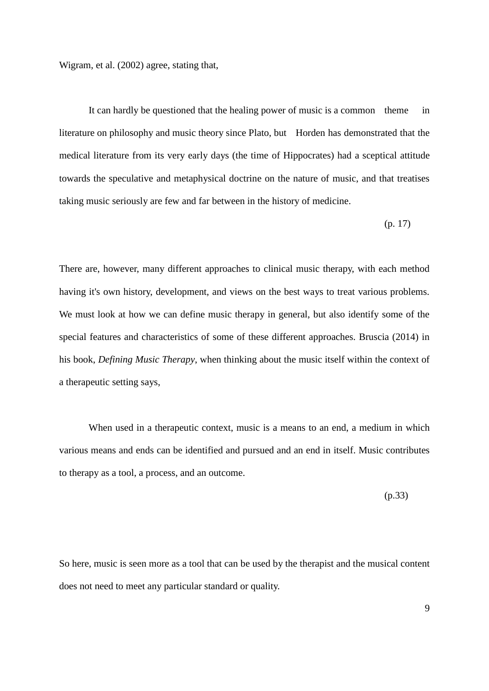Wigram, et al. (2002) agree, stating that,

It can hardly be questioned that the healing power of music is a common theme in literature on philosophy and music theory since Plato, but Horden has demonstrated that the medical literature from its very early days (the time of Hippocrates) had a sceptical attitude towards the speculative and metaphysical doctrine on the nature of music, and that treatises taking music seriously are few and far between in the history of medicine.

(p. 17)

There are, however, many different approaches to clinical music therapy, with each method having it's own history, development, and views on the best ways to treat various problems. We must look at how we can define music therapy in general, but also identify some of the special features and characteristics of some of these different approaches. Bruscia (2014) in his book, *Defining Music Therapy*, when thinking about the music itself within the context of a therapeutic setting says,

When used in a therapeutic context, music is a means to an end, a medium in which various means and ends can be identified and pursued and an end in itself. Music contributes to therapy as a tool, a process, and an outcome.

(p.33)

So here, music is seen more as a tool that can be used by the therapist and the musical content does not need to meet any particular standard or quality.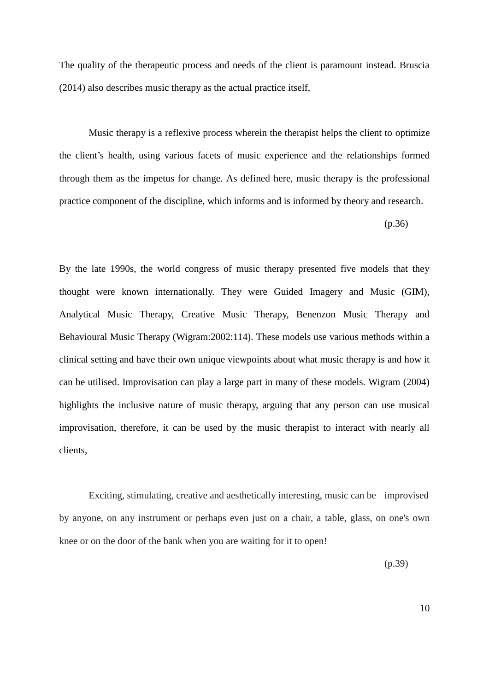The quality of the therapeutic process and needs of the client is paramount instead. Bruscia (2014) also describes music therapy as the actual practice itself,

Music therapy is a reflexive process wherein the therapist helps the client to optimize the client's health, using various facets of music experience and the relationships formed through them as the impetus for change. As defined here, music therapy is the professional practice component of the discipline, which informs and is informed by theory and research.

(p.36)

By the late 1990s, the world congress of music therapy presented five models that they thought were known internationally. They were Guided Imagery and Music (GIM), Analytical Music Therapy, Creative Music Therapy, Benenzon Music Therapy and Behavioural Music Therapy (Wigram:2002:114). These models use various methods within a clinical setting and have their own unique viewpoints about what music therapy is and how it can be utilised. Improvisation can play a large part in many of these models. Wigram (2004) highlights the inclusive nature of music therapy, arguing that any person can use musical improvisation, therefore, it can be used by the music therapist to interact with nearly all clients,

Exciting, stimulating, creative and aesthetically interesting, music can be improvised by anyone, on any instrument or perhaps even just on a chair, a table, glass, on one's own knee or on the door of the bank when you are waiting for it to open!

(p.39)

10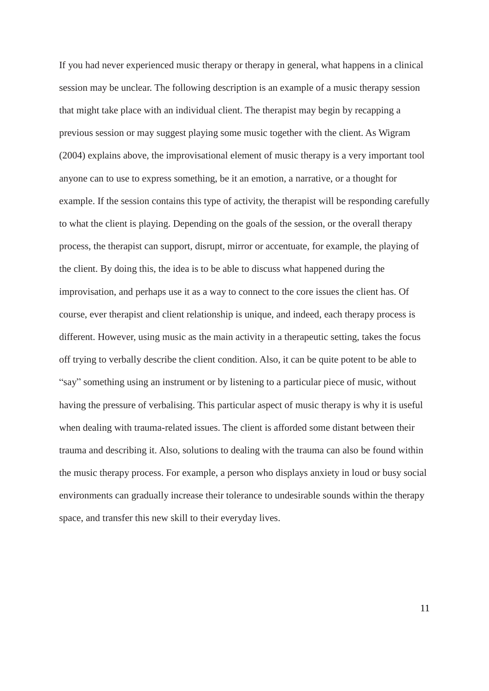If you had never experienced music therapy or therapy in general, what happens in a clinical session may be unclear. The following description is an example of a music therapy session that might take place with an individual client. The therapist may begin by recapping a previous session or may suggest playing some music together with the client. As Wigram (2004) explains above, the improvisational element of music therapy is a very important tool anyone can to use to express something, be it an emotion, a narrative, or a thought for example. If the session contains this type of activity, the therapist will be responding carefully to what the client is playing. Depending on the goals of the session, or the overall therapy process, the therapist can support, disrupt, mirror or accentuate, for example, the playing of the client. By doing this, the idea is to be able to discuss what happened during the improvisation, and perhaps use it as a way to connect to the core issues the client has. Of course, ever therapist and client relationship is unique, and indeed, each therapy process is different. However, using music as the main activity in a therapeutic setting, takes the focus off trying to verbally describe the client condition. Also, it can be quite potent to be able to "say" something using an instrument or by listening to a particular piece of music, without having the pressure of verbalising. This particular aspect of music therapy is why it is useful when dealing with trauma-related issues. The client is afforded some distant between their trauma and describing it. Also, solutions to dealing with the trauma can also be found within the music therapy process. For example, a person who displays anxiety in loud or busy social environments can gradually increase their tolerance to undesirable sounds within the therapy space, and transfer this new skill to their everyday lives.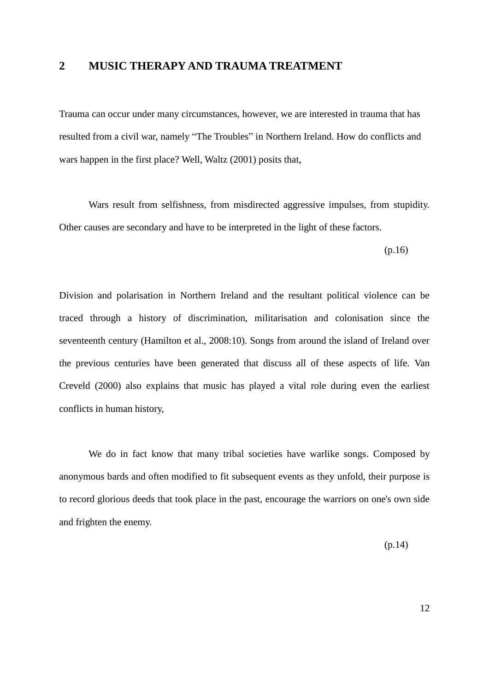## **2 MUSIC THERAPY AND TRAUMA TREATMENT**

Trauma can occur under many circumstances, however, we are interested in trauma that has resulted from a civil war, namely "The Troubles" in Northern Ireland. How do conflicts and wars happen in the first place? Well, Waltz (2001) posits that,

Wars result from selfishness, from misdirected aggressive impulses, from stupidity. Other causes are secondary and have to be interpreted in the light of these factors.

(p.16)

Division and polarisation in Northern Ireland and the resultant political violence can be traced through a history of discrimination, militarisation and colonisation since the seventeenth century (Hamilton et al., 2008:10). Songs from around the island of Ireland over the previous centuries have been generated that discuss all of these aspects of life. Van Creveld (2000) also explains that music has played a vital role during even the earliest conflicts in human history,

We do in fact know that many tribal societies have warlike songs. Composed by anonymous bards and often modified to fit subsequent events as they unfold, their purpose is to record glorious deeds that took place in the past, encourage the warriors on one's own side and frighten the enemy.

(p.14)

12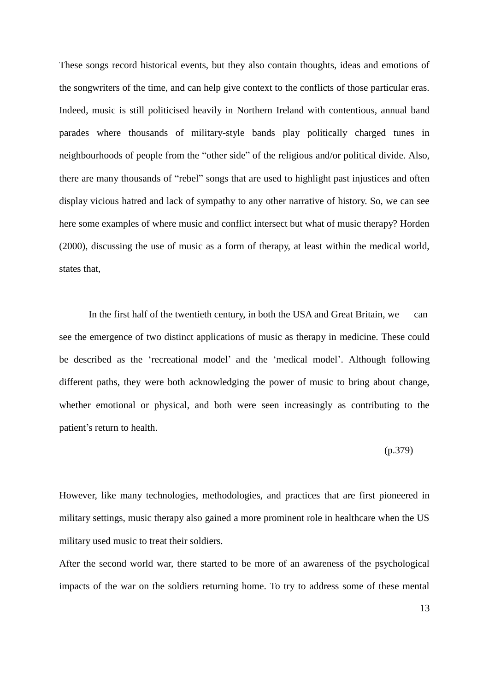These songs record historical events, but they also contain thoughts, ideas and emotions of the songwriters of the time, and can help give context to the conflicts of those particular eras. Indeed, music is still politicised heavily in Northern Ireland with contentious, annual band parades where thousands of military-style bands play politically charged tunes in neighbourhoods of people from the "other side" of the religious and/or political divide. Also, there are many thousands of "rebel" songs that are used to highlight past injustices and often display vicious hatred and lack of sympathy to any other narrative of history. So, we can see here some examples of where music and conflict intersect but what of music therapy? Horden (2000), discussing the use of music as a form of therapy, at least within the medical world, states that,

In the first half of the twentieth century, in both the USA and Great Britain, we can see the emergence of two distinct applications of music as therapy in medicine. These could be described as the 'recreational model' and the 'medical model'. Although following different paths, they were both acknowledging the power of music to bring about change, whether emotional or physical, and both were seen increasingly as contributing to the patient's return to health.

#### (p.379)

However, like many technologies, methodologies, and practices that are first pioneered in military settings, music therapy also gained a more prominent role in healthcare when the US military used music to treat their soldiers.

After the second world war, there started to be more of an awareness of the psychological impacts of the war on the soldiers returning home. To try to address some of these mental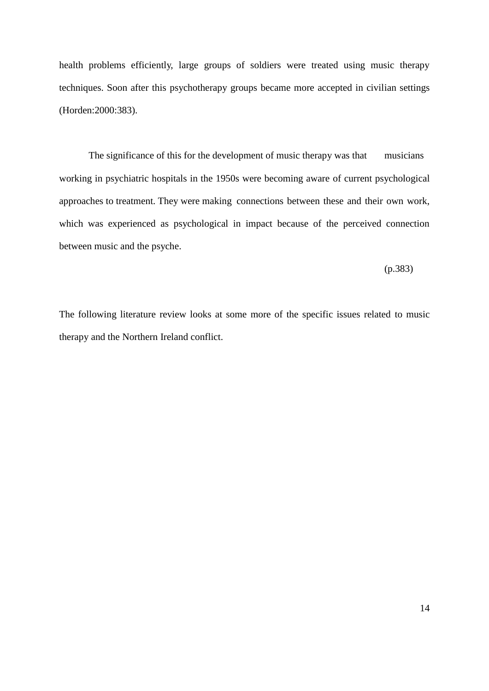health problems efficiently, large groups of soldiers were treated using music therapy techniques. Soon after this psychotherapy groups became more accepted in civilian settings (Horden:2000:383).

The significance of this for the development of music therapy was that musicians working in psychiatric hospitals in the 1950s were becoming aware of current psychological approaches to treatment. They were making connections between these and their own work, which was experienced as psychological in impact because of the perceived connection between music and the psyche.

(p.383)

The following literature review looks at some more of the specific issues related to music therapy and the Northern Ireland conflict.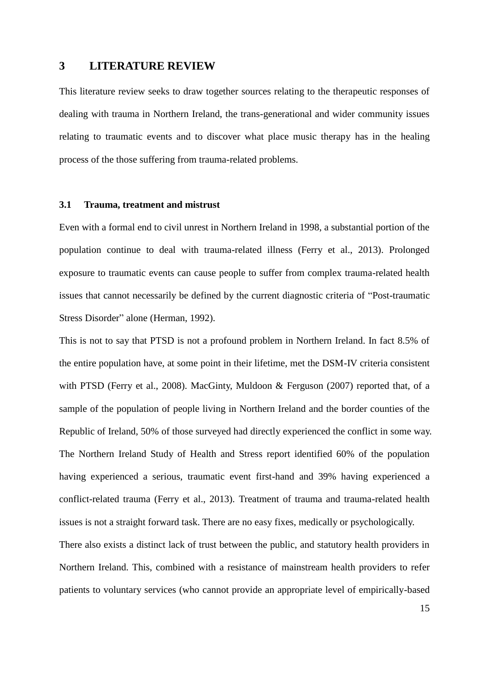## **3 LITERATURE REVIEW**

This literature review seeks to draw together sources relating to the therapeutic responses of dealing with trauma in Northern Ireland, the trans-generational and wider community issues relating to traumatic events and to discover what place music therapy has in the healing process of the those suffering from trauma-related problems.

#### **3.1 Trauma, treatment and mistrust**

Even with a formal end to civil unrest in Northern Ireland in 1998, a substantial portion of the population continue to deal with trauma-related illness (Ferry et al., 2013). Prolonged exposure to traumatic events can cause people to suffer from complex trauma-related health issues that cannot necessarily be defined by the current diagnostic criteria of "Post-traumatic Stress Disorder" alone (Herman, 1992).

This is not to say that PTSD is not a profound problem in Northern Ireland. In fact 8.5% of the entire population have, at some point in their lifetime, met the DSM-IV criteria consistent with PTSD (Ferry et al., 2008). MacGinty, Muldoon & Ferguson (2007) reported that, of a sample of the population of people living in Northern Ireland and the border counties of the Republic of Ireland, 50% of those surveyed had directly experienced the conflict in some way. The Northern Ireland Study of Health and Stress report identified 60% of the population having experienced a serious, traumatic event first-hand and 39% having experienced a conflict-related trauma (Ferry et al., 2013). Treatment of trauma and trauma-related health issues is not a straight forward task. There are no easy fixes, medically or psychologically.

There also exists a distinct lack of trust between the public, and statutory health providers in Northern Ireland. This, combined with a resistance of mainstream health providers to refer patients to voluntary services (who cannot provide an appropriate level of empirically-based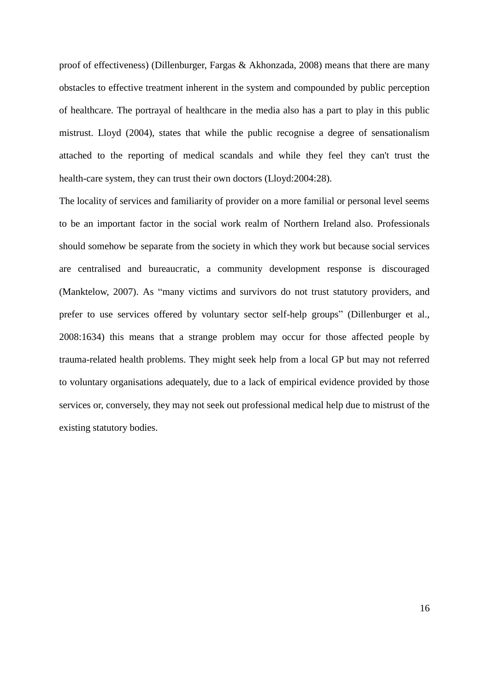proof of effectiveness) (Dillenburger, Fargas & Akhonzada, 2008) means that there are many obstacles to effective treatment inherent in the system and compounded by public perception of healthcare. The portrayal of healthcare in the media also has a part to play in this public mistrust. Lloyd (2004), states that while the public recognise a degree of sensationalism attached to the reporting of medical scandals and while they feel they can't trust the health-care system, they can trust their own doctors (Lloyd:2004:28).

The locality of services and familiarity of provider on a more familial or personal level seems to be an important factor in the social work realm of Northern Ireland also. Professionals should somehow be separate from the society in which they work but because social services are centralised and bureaucratic, a community development response is discouraged (Manktelow, 2007). As "many victims and survivors do not trust statutory providers, and prefer to use services offered by voluntary sector self-help groups" (Dillenburger et al., 2008:1634) this means that a strange problem may occur for those affected people by trauma-related health problems. They might seek help from a local GP but may not referred to voluntary organisations adequately, due to a lack of empirical evidence provided by those services or, conversely, they may not seek out professional medical help due to mistrust of the existing statutory bodies.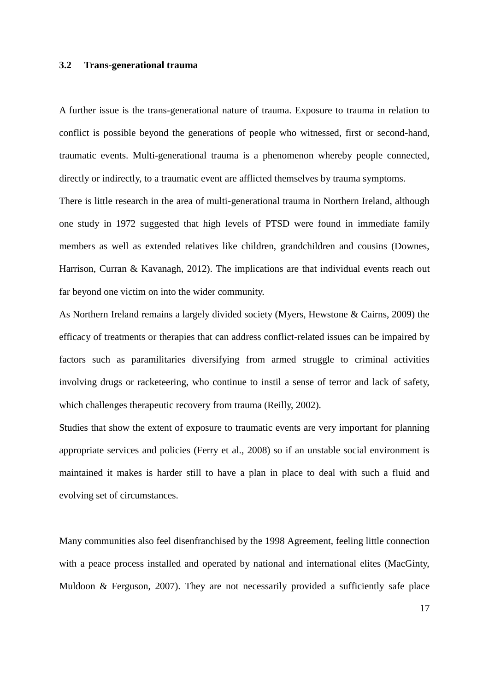#### **3.2 Trans-generational trauma**

A further issue is the trans-generational nature of trauma. Exposure to trauma in relation to conflict is possible beyond the generations of people who witnessed, first or second-hand, traumatic events. Multi-generational trauma is a phenomenon whereby people connected, directly or indirectly, to a traumatic event are afflicted themselves by trauma symptoms.

There is little research in the area of multi-generational trauma in Northern Ireland, although one study in 1972 suggested that high levels of PTSD were found in immediate family members as well as extended relatives like children, grandchildren and cousins (Downes, Harrison, Curran & Kavanagh, 2012). The implications are that individual events reach out far beyond one victim on into the wider community.

As Northern Ireland remains a largely divided society (Myers, Hewstone & Cairns, 2009) the efficacy of treatments or therapies that can address conflict-related issues can be impaired by factors such as paramilitaries diversifying from armed struggle to criminal activities involving drugs or racketeering, who continue to instil a sense of terror and lack of safety, which challenges therapeutic recovery from trauma (Reilly, 2002).

Studies that show the extent of exposure to traumatic events are very important for planning appropriate services and policies (Ferry et al., 2008) so if an unstable social environment is maintained it makes is harder still to have a plan in place to deal with such a fluid and evolving set of circumstances.

Many communities also feel disenfranchised by the 1998 Agreement, feeling little connection with a peace process installed and operated by national and international elites (MacGinty, Muldoon & Ferguson, 2007). They are not necessarily provided a sufficiently safe place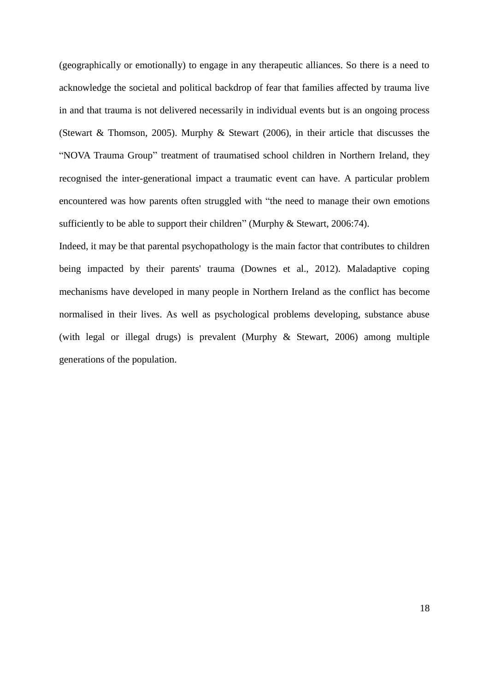(geographically or emotionally) to engage in any therapeutic alliances. So there is a need to acknowledge the societal and political backdrop of fear that families affected by trauma live in and that trauma is not delivered necessarily in individual events but is an ongoing process (Stewart & Thomson, 2005). Murphy & Stewart (2006), in their article that discusses the "NOVA Trauma Group" treatment of traumatised school children in Northern Ireland, they recognised the inter-generational impact a traumatic event can have. A particular problem encountered was how parents often struggled with "the need to manage their own emotions sufficiently to be able to support their children" (Murphy & Stewart, 2006:74).

Indeed, it may be that parental psychopathology is the main factor that contributes to children being impacted by their parents' trauma (Downes et al., 2012). Maladaptive coping mechanisms have developed in many people in Northern Ireland as the conflict has become normalised in their lives. As well as psychological problems developing, substance abuse (with legal or illegal drugs) is prevalent (Murphy & Stewart, 2006) among multiple generations of the population.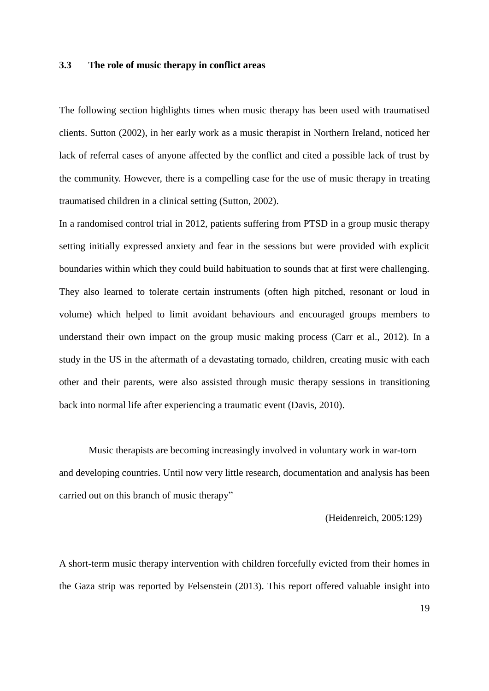#### **3.3 The role of music therapy in conflict areas**

The following section highlights times when music therapy has been used with traumatised clients. Sutton (2002), in her early work as a music therapist in Northern Ireland, noticed her lack of referral cases of anyone affected by the conflict and cited a possible lack of trust by the community. However, there is a compelling case for the use of music therapy in treating traumatised children in a clinical setting (Sutton, 2002).

In a randomised control trial in 2012, patients suffering from PTSD in a group music therapy setting initially expressed anxiety and fear in the sessions but were provided with explicit boundaries within which they could build habituation to sounds that at first were challenging. They also learned to tolerate certain instruments (often high pitched, resonant or loud in volume) which helped to limit avoidant behaviours and encouraged groups members to understand their own impact on the group music making process (Carr et al., 2012). In a study in the US in the aftermath of a devastating tornado, children, creating music with each other and their parents, were also assisted through music therapy sessions in transitioning back into normal life after experiencing a traumatic event (Davis, 2010).

Music therapists are becoming increasingly involved in voluntary work in war-torn and developing countries. Until now very little research, documentation and analysis has been carried out on this branch of music therapy"

(Heidenreich, 2005:129)

A short-term music therapy intervention with children forcefully evicted from their homes in the Gaza strip was reported by Felsenstein (2013). This report offered valuable insight into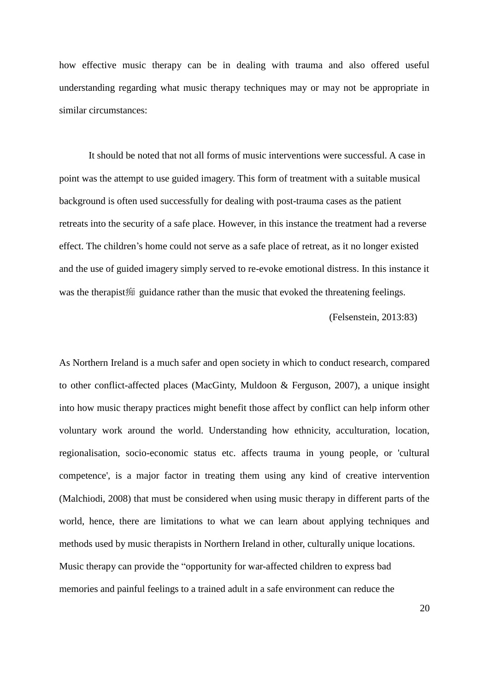how effective music therapy can be in dealing with trauma and also offered useful understanding regarding what music therapy techniques may or may not be appropriate in similar circumstances:

It should be noted that not all forms of music interventions were successful. A case in point was the attempt to use guided imagery. This form of treatment with a suitable musical background is often used successfully for dealing with post-trauma cases as the patient retreats into the security of a safe place. However, in this instance the treatment had a reverse effect. The children's home could not serve as a safe place of retreat, as it no longer existed and the use of guided imagery simply served to re-evoke emotional distress. In this instance it was the therapist痴 guidance rather than the music that evoked the threatening feelings.

(Felsenstein, 2013:83)

As Northern Ireland is a much safer and open society in which to conduct research, compared to other conflict-affected places (MacGinty, Muldoon & Ferguson, 2007), a unique insight into how music therapy practices might benefit those affect by conflict can help inform other voluntary work around the world. Understanding how ethnicity, acculturation, location, regionalisation, socio-economic status etc. affects trauma in young people, or 'cultural competence', is a major factor in treating them using any kind of creative intervention (Malchiodi, 2008) that must be considered when using music therapy in different parts of the world, hence, there are limitations to what we can learn about applying techniques and methods used by music therapists in Northern Ireland in other, culturally unique locations. Music therapy can provide the "opportunity for war-affected children to express bad memories and painful feelings to a trained adult in a safe environment can reduce the

20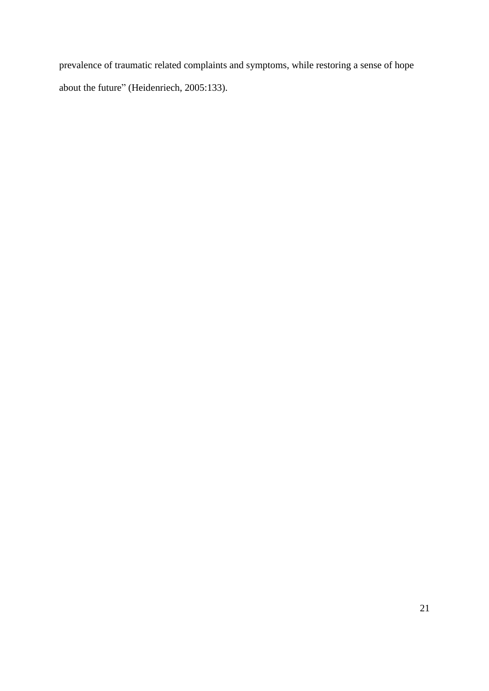prevalence of traumatic related complaints and symptoms, while restoring a sense of hope about the future" (Heidenriech, 2005:133).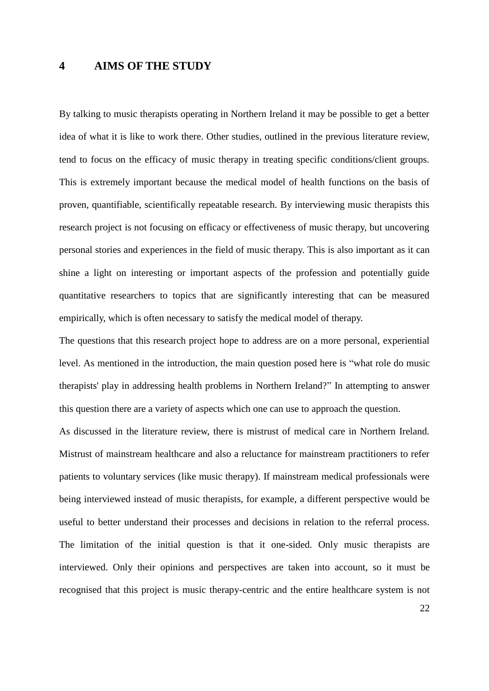## **4 AIMS OF THE STUDY**

By talking to music therapists operating in Northern Ireland it may be possible to get a better idea of what it is like to work there. Other studies, outlined in the previous literature review, tend to focus on the efficacy of music therapy in treating specific conditions/client groups. This is extremely important because the medical model of health functions on the basis of proven, quantifiable, scientifically repeatable research. By interviewing music therapists this research project is not focusing on efficacy or effectiveness of music therapy, but uncovering personal stories and experiences in the field of music therapy. This is also important as it can shine a light on interesting or important aspects of the profession and potentially guide quantitative researchers to topics that are significantly interesting that can be measured empirically, which is often necessary to satisfy the medical model of therapy.

The questions that this research project hope to address are on a more personal, experiential level. As mentioned in the introduction, the main question posed here is "what role do music therapists' play in addressing health problems in Northern Ireland?" In attempting to answer this question there are a variety of aspects which one can use to approach the question.

As discussed in the literature review, there is mistrust of medical care in Northern Ireland. Mistrust of mainstream healthcare and also a reluctance for mainstream practitioners to refer patients to voluntary services (like music therapy). If mainstream medical professionals were being interviewed instead of music therapists, for example, a different perspective would be useful to better understand their processes and decisions in relation to the referral process. The limitation of the initial question is that it one-sided. Only music therapists are interviewed. Only their opinions and perspectives are taken into account, so it must be recognised that this project is music therapy-centric and the entire healthcare system is not

22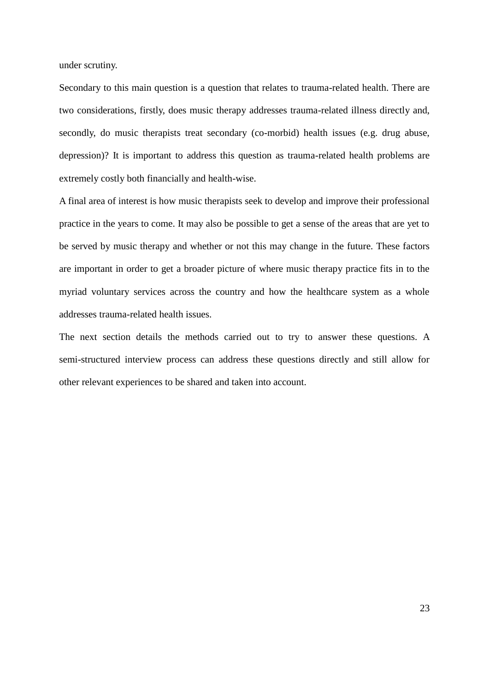under scrutiny.

Secondary to this main question is a question that relates to trauma-related health. There are two considerations, firstly, does music therapy addresses trauma-related illness directly and, secondly, do music therapists treat secondary (co-morbid) health issues (e.g. drug abuse, depression)? It is important to address this question as trauma-related health problems are extremely costly both financially and health-wise.

A final area of interest is how music therapists seek to develop and improve their professional practice in the years to come. It may also be possible to get a sense of the areas that are yet to be served by music therapy and whether or not this may change in the future. These factors are important in order to get a broader picture of where music therapy practice fits in to the myriad voluntary services across the country and how the healthcare system as a whole addresses trauma-related health issues.

The next section details the methods carried out to try to answer these questions. A semi-structured interview process can address these questions directly and still allow for other relevant experiences to be shared and taken into account.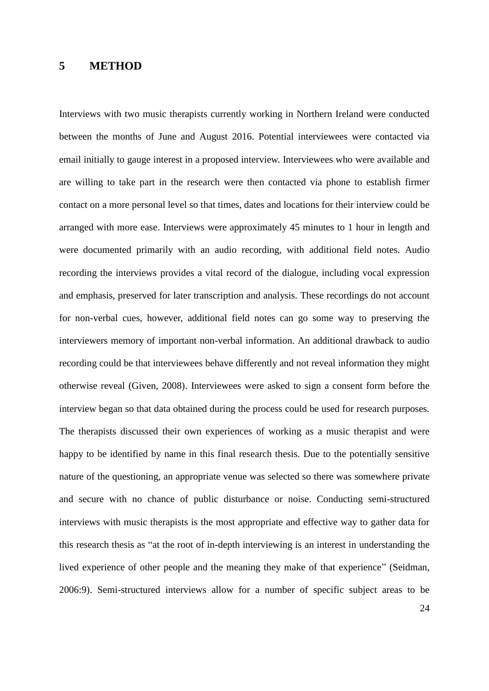## **5 METHOD**

Interviews with two music therapists currently working in Northern Ireland were conducted between the months of June and August 2016. Potential interviewees were contacted via email initially to gauge interest in a proposed interview. Interviewees who were available and are willing to take part in the research were then contacted via phone to establish firmer contact on a more personal level so that times, dates and locations for their interview could be arranged with more ease. Interviews were approximately 45 minutes to 1 hour in length and were documented primarily with an audio recording, with additional field notes. Audio recording the interviews provides a vital record of the dialogue, including vocal expression and emphasis, preserved for later transcription and analysis. These recordings do not account for non-verbal cues, however, additional field notes can go some way to preserving the interviewers memory of important non-verbal information. An additional drawback to audio recording could be that interviewees behave differently and not reveal information they might otherwise reveal (Given, 2008). Interviewees were asked to sign a consent form before the interview began so that data obtained during the process could be used for research purposes. The therapists discussed their own experiences of working as a music therapist and were happy to be identified by name in this final research thesis. Due to the potentially sensitive nature of the questioning, an appropriate venue was selected so there was somewhere private and secure with no chance of public disturbance or noise. Conducting semi-structured interviews with music therapists is the most appropriate and effective way to gather data for this research thesis as "at the root of in-depth interviewing is an interest in understanding the lived experience of other people and the meaning they make of that experience" (Seidman, 2006:9). Semi-structured interviews allow for a number of specific subject areas to be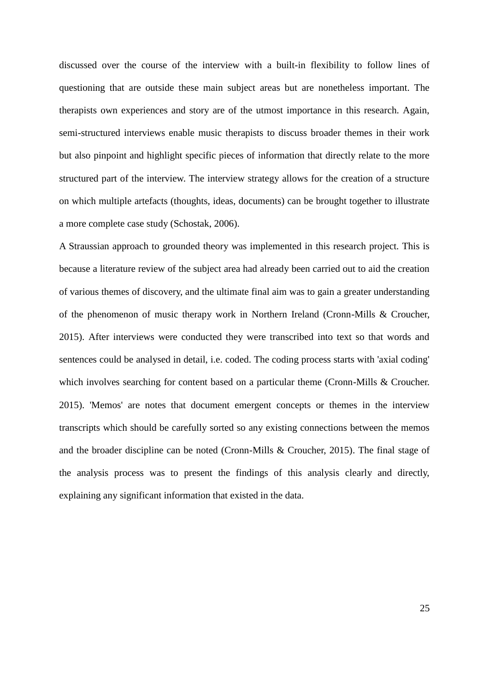discussed over the course of the interview with a built-in flexibility to follow lines of questioning that are outside these main subject areas but are nonetheless important. The therapists own experiences and story are of the utmost importance in this research. Again, semi-structured interviews enable music therapists to discuss broader themes in their work but also pinpoint and highlight specific pieces of information that directly relate to the more structured part of the interview. The interview strategy allows for the creation of a structure on which multiple artefacts (thoughts, ideas, documents) can be brought together to illustrate a more complete case study (Schostak, 2006).

A Straussian approach to grounded theory was implemented in this research project. This is because a literature review of the subject area had already been carried out to aid the creation of various themes of discovery, and the ultimate final aim was to gain a greater understanding of the phenomenon of music therapy work in Northern Ireland (Cronn-Mills & Croucher, 2015). After interviews were conducted they were transcribed into text so that words and sentences could be analysed in detail, i.e. coded. The coding process starts with 'axial coding' which involves searching for content based on a particular theme (Cronn-Mills & Croucher. 2015). 'Memos' are notes that document emergent concepts or themes in the interview transcripts which should be carefully sorted so any existing connections between the memos and the broader discipline can be noted (Cronn-Mills & Croucher, 2015). The final stage of the analysis process was to present the findings of this analysis clearly and directly, explaining any significant information that existed in the data.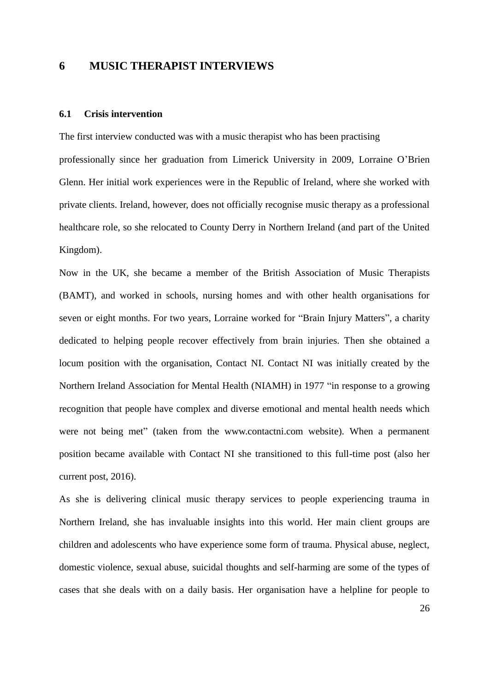## **6 MUSIC THERAPIST INTERVIEWS**

## **6.1 Crisis intervention**

The first interview conducted was with a music therapist who has been practising professionally since her graduation from Limerick University in 2009, Lorraine O'Brien Glenn. Her initial work experiences were in the Republic of Ireland, where she worked with private clients. Ireland, however, does not officially recognise music therapy as a professional healthcare role, so she relocated to County Derry in Northern Ireland (and part of the United Kingdom).

Now in the UK, she became a member of the British Association of Music Therapists (BAMT), and worked in schools, nursing homes and with other health organisations for seven or eight months. For two years, Lorraine worked for "Brain Injury Matters", a charity dedicated to helping people recover effectively from brain injuries. Then she obtained a locum position with the organisation, Contact NI. Contact NI was initially created by the Northern Ireland Association for Mental Health (NIAMH) in 1977 "in response to a growing recognition that people have complex and diverse emotional and mental health needs which were not being met" (taken from the www.contactni.com website). When a permanent position became available with Contact NI she transitioned to this full-time post (also her current post, 2016).

As she is delivering clinical music therapy services to people experiencing trauma in Northern Ireland, she has invaluable insights into this world. Her main client groups are children and adolescents who have experience some form of trauma. Physical abuse, neglect, domestic violence, sexual abuse, suicidal thoughts and self-harming are some of the types of cases that she deals with on a daily basis. Her organisation have a helpline for people to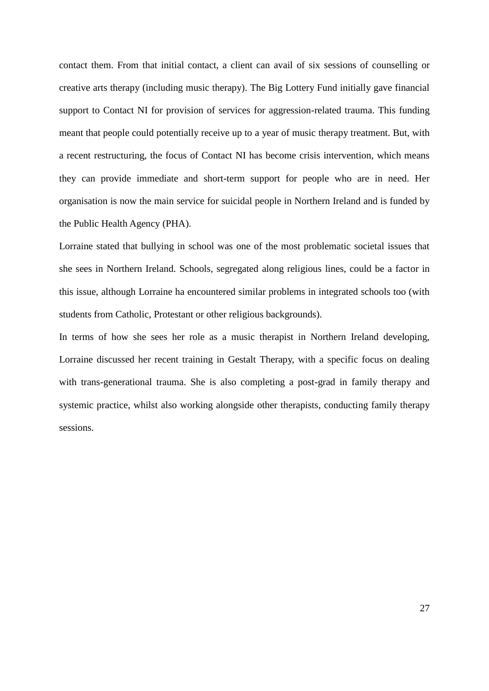contact them. From that initial contact, a client can avail of six sessions of counselling or creative arts therapy (including music therapy). The Big Lottery Fund initially gave financial support to Contact NI for provision of services for aggression-related trauma. This funding meant that people could potentially receive up to a year of music therapy treatment. But, with a recent restructuring, the focus of Contact NI has become crisis intervention, which means they can provide immediate and short-term support for people who are in need. Her organisation is now the main service for suicidal people in Northern Ireland and is funded by the Public Health Agency (PHA).

Lorraine stated that bullying in school was one of the most problematic societal issues that she sees in Northern Ireland. Schools, segregated along religious lines, could be a factor in this issue, although Lorraine ha encountered similar problems in integrated schools too (with students from Catholic, Protestant or other religious backgrounds).

In terms of how she sees her role as a music therapist in Northern Ireland developing, Lorraine discussed her recent training in Gestalt Therapy, with a specific focus on dealing with trans-generational trauma. She is also completing a post-grad in family therapy and systemic practice, whilst also working alongside other therapists, conducting family therapy sessions.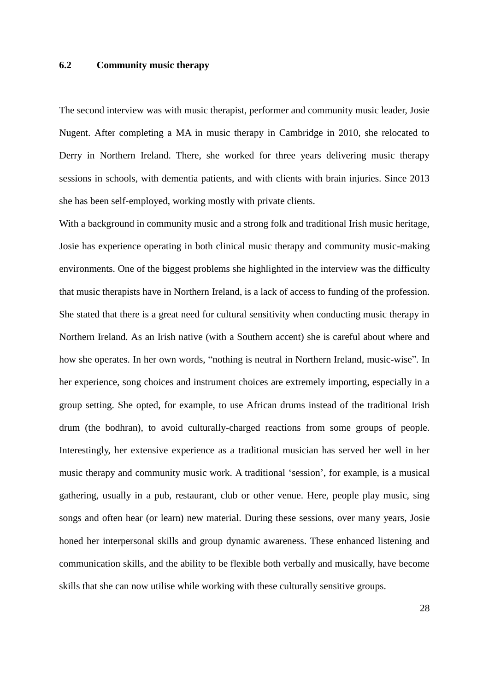#### **6.2 Community music therapy**

The second interview was with music therapist, performer and community music leader, Josie Nugent. After completing a MA in music therapy in Cambridge in 2010, she relocated to Derry in Northern Ireland. There, she worked for three years delivering music therapy sessions in schools, with dementia patients, and with clients with brain injuries. Since 2013 she has been self-employed, working mostly with private clients.

With a background in community music and a strong folk and traditional Irish music heritage, Josie has experience operating in both clinical music therapy and community music-making environments. One of the biggest problems she highlighted in the interview was the difficulty that music therapists have in Northern Ireland, is a lack of access to funding of the profession. She stated that there is a great need for cultural sensitivity when conducting music therapy in Northern Ireland. As an Irish native (with a Southern accent) she is careful about where and how she operates. In her own words, "nothing is neutral in Northern Ireland, music-wise". In her experience, song choices and instrument choices are extremely importing, especially in a group setting. She opted, for example, to use African drums instead of the traditional Irish drum (the bodhran), to avoid culturally-charged reactions from some groups of people. Interestingly, her extensive experience as a traditional musician has served her well in her music therapy and community music work. A traditional 'session', for example, is a musical gathering, usually in a pub, restaurant, club or other venue. Here, people play music, sing songs and often hear (or learn) new material. During these sessions, over many years, Josie honed her interpersonal skills and group dynamic awareness. These enhanced listening and communication skills, and the ability to be flexible both verbally and musically, have become skills that she can now utilise while working with these culturally sensitive groups.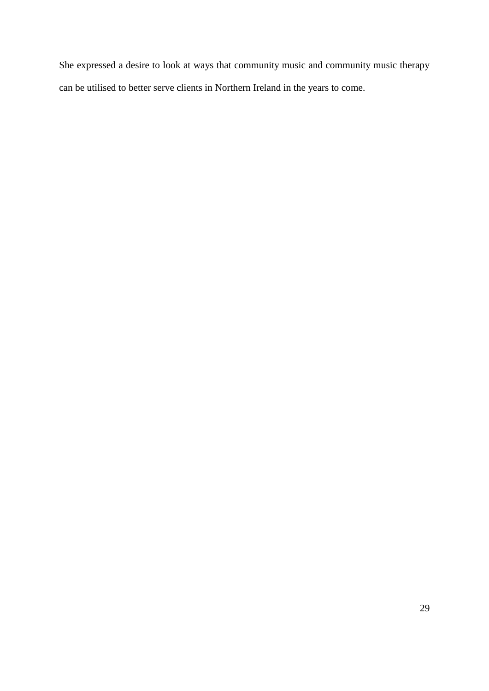She expressed a desire to look at ways that community music and community music therapy can be utilised to better serve clients in Northern Ireland in the years to come.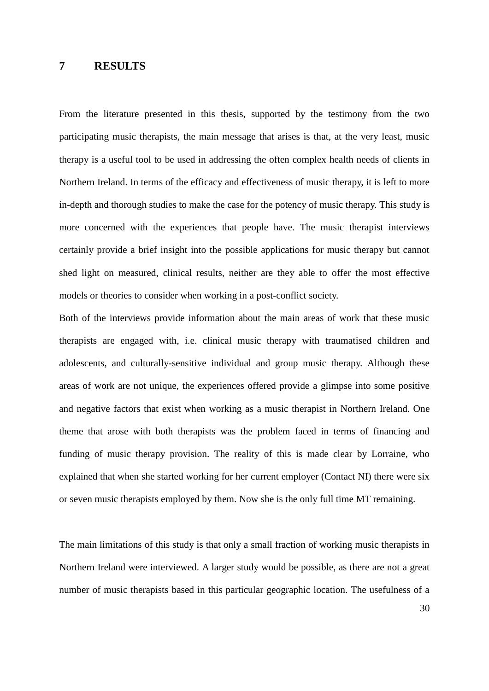## **7 RESULTS**

From the literature presented in this thesis, supported by the testimony from the two participating music therapists, the main message that arises is that, at the very least, music therapy is a useful tool to be used in addressing the often complex health needs of clients in Northern Ireland. In terms of the efficacy and effectiveness of music therapy, it is left to more in-depth and thorough studies to make the case for the potency of music therapy. This study is more concerned with the experiences that people have. The music therapist interviews certainly provide a brief insight into the possible applications for music therapy but cannot shed light on measured, clinical results, neither are they able to offer the most effective models or theories to consider when working in a post-conflict society.

Both of the interviews provide information about the main areas of work that these music therapists are engaged with, i.e. clinical music therapy with traumatised children and adolescents, and culturally-sensitive individual and group music therapy. Although these areas of work are not unique, the experiences offered provide a glimpse into some positive and negative factors that exist when working as a music therapist in Northern Ireland. One theme that arose with both therapists was the problem faced in terms of financing and funding of music therapy provision. The reality of this is made clear by Lorraine, who explained that when she started working for her current employer (Contact NI) there were six or seven music therapists employed by them. Now she is the only full time MT remaining.

The main limitations of this study is that only a small fraction of working music therapists in Northern Ireland were interviewed. A larger study would be possible, as there are not a great number of music therapists based in this particular geographic location. The usefulness of a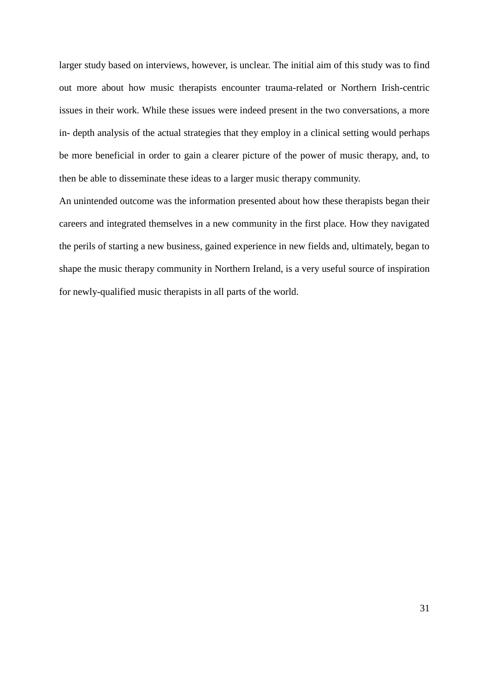larger study based on interviews, however, is unclear. The initial aim of this study was to find out more about how music therapists encounter trauma-related or Northern Irish-centric issues in their work. While these issues were indeed present in the two conversations, a more in- depth analysis of the actual strategies that they employ in a clinical setting would perhaps be more beneficial in order to gain a clearer picture of the power of music therapy, and, to then be able to disseminate these ideas to a larger music therapy community.

An unintended outcome was the information presented about how these therapists began their careers and integrated themselves in a new community in the first place. How they navigated the perils of starting a new business, gained experience in new fields and, ultimately, began to shape the music therapy community in Northern Ireland, is a very useful source of inspiration for newly-qualified music therapists in all parts of the world.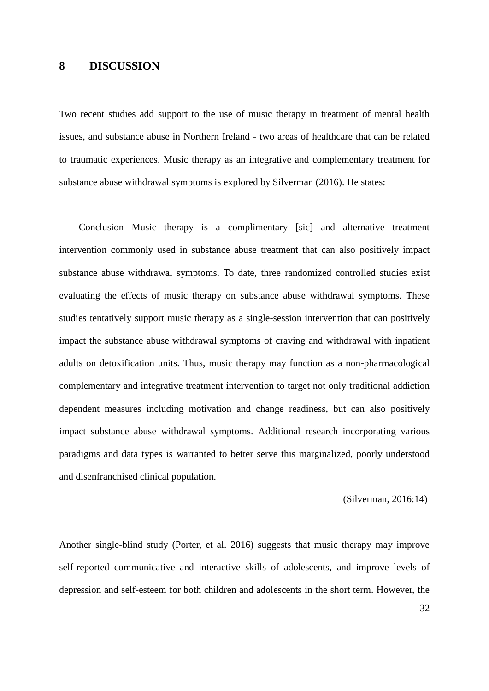## **8 DISCUSSION**

Two recent studies add support to the use of music therapy in treatment of mental health issues, and substance abuse in Northern Ireland - two areas of healthcare that can be related to traumatic experiences. Music therapy as an integrative and complementary treatment for substance abuse withdrawal symptoms is explored by Silverman (2016). He states:

 Conclusion Music therapy is a complimentary [sic] and alternative treatment intervention commonly used in substance abuse treatment that can also positively impact substance abuse withdrawal symptoms. To date, three randomized controlled studies exist evaluating the effects of music therapy on substance abuse withdrawal symptoms. These studies tentatively support music therapy as a single-session intervention that can positively impact the substance abuse withdrawal symptoms of craving and withdrawal with inpatient adults on detoxification units. Thus, music therapy may function as a non-pharmacological complementary and integrative treatment intervention to target not only traditional addiction dependent measures including motivation and change readiness, but can also positively impact substance abuse withdrawal symptoms. Additional research incorporating various paradigms and data types is warranted to better serve this marginalized, poorly understood and disenfranchised clinical population.

#### (Silverman, 2016:14)

Another single-blind study (Porter, et al. 2016) suggests that music therapy may improve self-reported communicative and interactive skills of adolescents, and improve levels of depression and self-esteem for both children and adolescents in the short term. However, the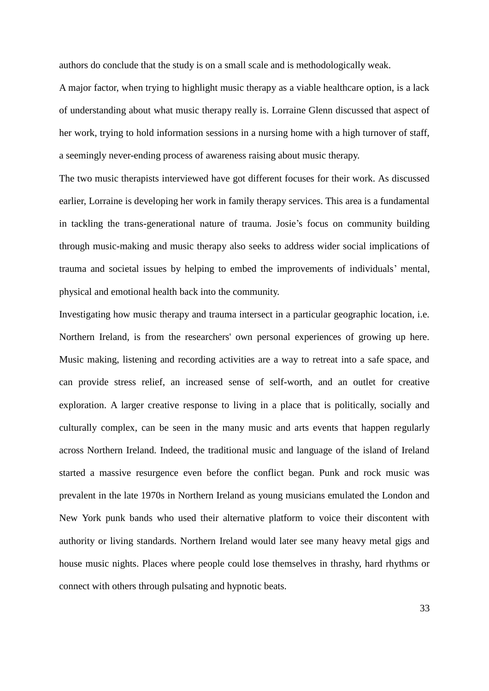authors do conclude that the study is on a small scale and is methodologically weak.

A major factor, when trying to highlight music therapy as a viable healthcare option, is a lack of understanding about what music therapy really is. Lorraine Glenn discussed that aspect of her work, trying to hold information sessions in a nursing home with a high turnover of staff, a seemingly never-ending process of awareness raising about music therapy.

The two music therapists interviewed have got different focuses for their work. As discussed earlier, Lorraine is developing her work in family therapy services. This area is a fundamental in tackling the trans-generational nature of trauma. Josie's focus on community building through music-making and music therapy also seeks to address wider social implications of trauma and societal issues by helping to embed the improvements of individuals' mental, physical and emotional health back into the community.

Investigating how music therapy and trauma intersect in a particular geographic location, i.e. Northern Ireland, is from the researchers' own personal experiences of growing up here. Music making, listening and recording activities are a way to retreat into a safe space, and can provide stress relief, an increased sense of self-worth, and an outlet for creative exploration. A larger creative response to living in a place that is politically, socially and culturally complex, can be seen in the many music and arts events that happen regularly across Northern Ireland. Indeed, the traditional music and language of the island of Ireland started a massive resurgence even before the conflict began. Punk and rock music was prevalent in the late 1970s in Northern Ireland as young musicians emulated the London and New York punk bands who used their alternative platform to voice their discontent with authority or living standards. Northern Ireland would later see many heavy metal gigs and house music nights. Places where people could lose themselves in thrashy, hard rhythms or connect with others through pulsating and hypnotic beats.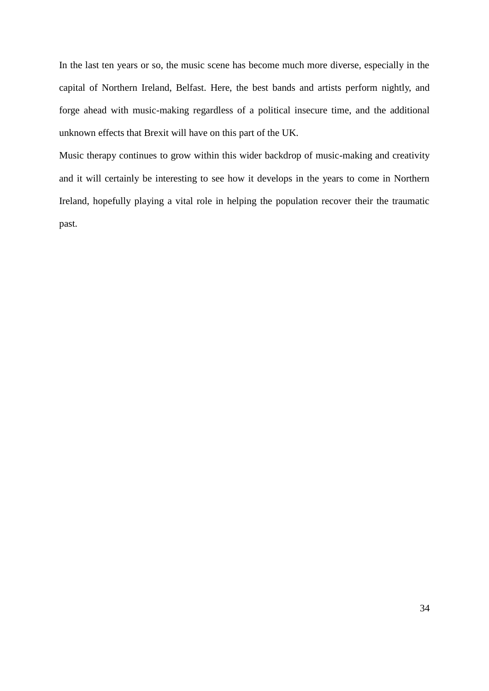In the last ten years or so, the music scene has become much more diverse, especially in the capital of Northern Ireland, Belfast. Here, the best bands and artists perform nightly, and forge ahead with music-making regardless of a political insecure time, and the additional unknown effects that Brexit will have on this part of the UK.

Music therapy continues to grow within this wider backdrop of music-making and creativity and it will certainly be interesting to see how it develops in the years to come in Northern Ireland, hopefully playing a vital role in helping the population recover their the traumatic past.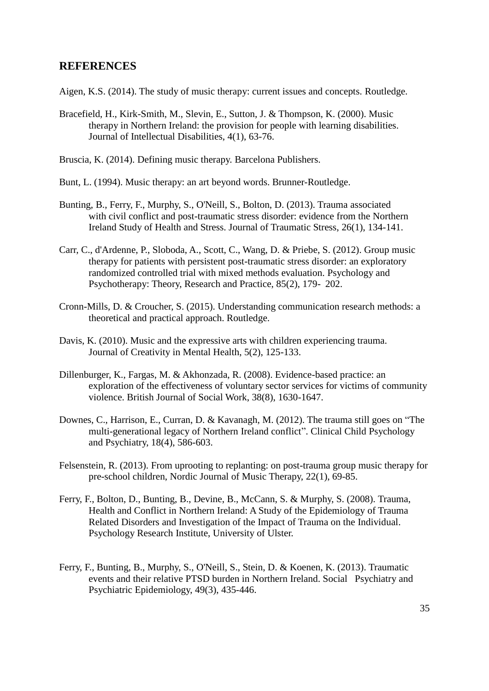## **REFERENCES**

Aigen, K.S. (2014). The study of music therapy: current issues and concepts. Routledge.

- Bracefield, H., Kirk-Smith, M., Slevin, E., Sutton, J. & Thompson, K. (2000). Music therapy in Northern Ireland: the provision for people with learning disabilities. Journal of Intellectual Disabilities, 4(1), 63-76.
- Bruscia, K. (2014). Defining music therapy. Barcelona Publishers.
- Bunt, L. (1994). Music therapy: an art beyond words. Brunner-Routledge.
- Bunting, B., Ferry, F., Murphy, S., O'Neill, S., Bolton, D. (2013). Trauma associated with civil conflict and post-traumatic stress disorder: evidence from the Northern Ireland Study of Health and Stress. Journal of Traumatic Stress, 26(1), 134-141.
- Carr, C., d'Ardenne, P., Sloboda, A., Scott, C., Wang, D. & Priebe, S. (2012). Group music therapy for patients with persistent post-traumatic stress disorder: an exploratory randomized controlled trial with mixed methods evaluation. Psychology and Psychotherapy: Theory, Research and Practice, 85(2), 179- 202.
- Cronn-Mills, D. & Croucher, S. (2015). Understanding communication research methods: a theoretical and practical approach. Routledge.
- Davis, K. (2010). Music and the expressive arts with children experiencing trauma. Journal of Creativity in Mental Health, 5(2), 125-133.
- Dillenburger, K., Fargas, M. & Akhonzada, R. (2008). Evidence-based practice: an exploration of the effectiveness of voluntary sector services for victims of community violence. British Journal of Social Work, 38(8), 1630-1647.
- Downes, C., Harrison, E., Curran, D. & Kavanagh, M. (2012). The trauma still goes on "The multi-generational legacy of Northern Ireland conflict". Clinical Child Psychology and Psychiatry, 18(4), 586-603.
- Felsenstein, R. (2013). From uprooting to replanting: on post-trauma group music therapy for pre-school children, Nordic Journal of Music Therapy, 22(1), 69-85.
- Ferry, F., Bolton, D., Bunting, B., Devine, B., McCann, S. & Murphy, S. (2008). Trauma, Health and Conflict in Northern Ireland: A Study of the Epidemiology of Trauma Related Disorders and Investigation of the Impact of Trauma on the Individual. Psychology Research Institute, University of Ulster.
- Ferry, F., Bunting, B., Murphy, S., O'Neill, S., Stein, D. & Koenen, K. (2013). Traumatic events and their relative PTSD burden in Northern Ireland. Social Psychiatry and Psychiatric Epidemiology, 49(3), 435-446.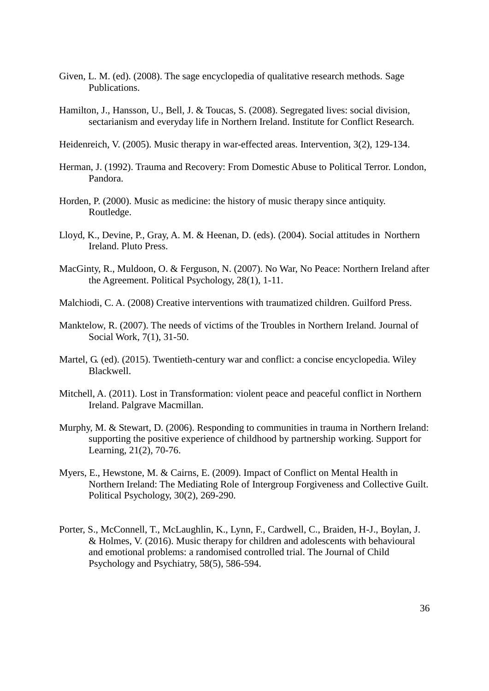- Given, L. M. (ed). (2008). The sage encyclopedia of qualitative research methods. Sage Publications.
- Hamilton, J., Hansson, U., Bell, J. & Toucas, S. (2008). Segregated lives: social division, sectarianism and everyday life in Northern Ireland. Institute for Conflict Research.
- Heidenreich, V. (2005). Music therapy in war-effected areas. Intervention, 3(2), 129-134.
- Herman, J. (1992). Trauma and Recovery: From Domestic Abuse to Political Terror. London, Pandora.
- Horden, P. (2000). Music as medicine: the history of music therapy since antiquity. Routledge.
- Lloyd, K., Devine, P., Gray, A. M. & Heenan, D. (eds). (2004). Social attitudes in Northern Ireland. Pluto Press.
- MacGinty, R., Muldoon, O. & Ferguson, N. (2007). No War, No Peace: Northern Ireland after the Agreement. Political Psychology, 28(1), 1-11.
- Malchiodi, C. A. (2008) Creative interventions with traumatized children. Guilford Press.
- Manktelow, R. (2007). The needs of victims of the Troubles in Northern Ireland. Journal of Social Work, 7(1), 31-50.
- Martel, G. (ed). (2015). Twentieth-century war and conflict: a concise encyclopedia. Wiley Blackwell.
- Mitchell, A. (2011). Lost in Transformation: violent peace and peaceful conflict in Northern Ireland. Palgrave Macmillan.
- Murphy, M. & Stewart, D. (2006). Responding to communities in trauma in Northern Ireland: supporting the positive experience of childhood by partnership working. Support for Learning, 21(2), 70-76.
- Myers, E., Hewstone, M. & Cairns, E. (2009). Impact of Conflict on Mental Health in Northern Ireland: The Mediating Role of Intergroup Forgiveness and Collective Guilt. Political Psychology, 30(2), 269-290.
- Porter, S., McConnell, T., McLaughlin, K., Lynn, F., Cardwell, C., Braiden, H-J., Boylan, J. & Holmes, V. (2016). Music therapy for children and adolescents with behavioural and emotional problems: a randomised controlled trial. The Journal of Child Psychology and Psychiatry, 58(5), 586-594.